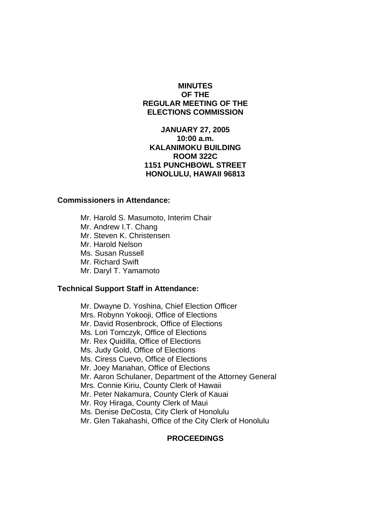# **MINUTES OF THE REGULAR MEETING OF THE ELECTIONS COMMISSION**

## **JANUARY 27, 2005 10:00 a.m. KALANIMOKU BUILDING ROOM 322C 1151 PUNCHBOWL STREET HONOLULU, HAWAII 96813**

#### **Commissioners in Attendance:**

 Mr. Harold S. Masumoto, Interim Chair Mr. Andrew I.T. Chang Mr. Steven K. Christensen Mr. Harold Nelson Ms. Susan Russell Mr. Richard Swift Mr. Daryl T. Yamamoto

### **Technical Support Staff in Attendance:**

Mr. Dwayne D. Yoshina, Chief Election Officer Mrs. Robynn Yokooji, Office of Elections Mr. David Rosenbrock, Office of Elections Ms. Lori Tomczyk, Office of Elections Mr. Rex Quidilla, Office of Elections Ms. Judy Gold, Office of Elections Ms. Ciress Cuevo, Office of Elections Mr. Joey Manahan, Office of Elections Mr. Aaron Schulaner, Department of the Attorney General Mrs. Connie Kiriu, County Clerk of Hawaii Mr. Peter Nakamura, County Clerk of Kauai Mr. Roy Hiraga, County Clerk of Maui Ms. Denise DeCosta, City Clerk of Honolulu Mr. Glen Takahashi, Office of the City Clerk of Honolulu

#### **PROCEEDINGS**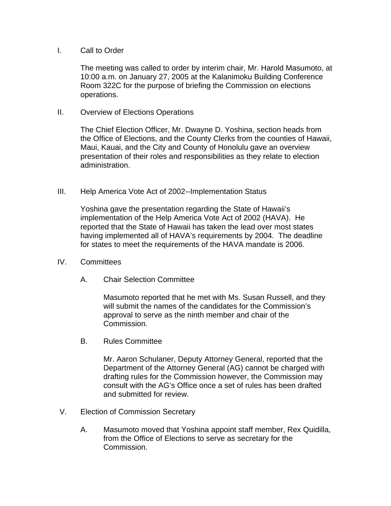### I. Call to Order

The meeting was called to order by interim chair, Mr. Harold Masumoto, at 10:00 a.m. on January 27, 2005 at the Kalanimoku Building Conference Room 322C for the purpose of briefing the Commission on elections operations.

II. Overview of Elections Operations

The Chief Election Officer, Mr. Dwayne D. Yoshina, section heads from the Office of Elections, and the County Clerks from the counties of Hawaii, Maui, Kauai, and the City and County of Honolulu gave an overview presentation of their roles and responsibilities as they relate to election administration.

III. Help America Vote Act of 2002--Implementation Status

Yoshina gave the presentation regarding the State of Hawaii's implementation of the Help America Vote Act of 2002 (HAVA). He reported that the State of Hawaii has taken the lead over most states having implemented all of HAVA's requirements by 2004. The deadline for states to meet the requirements of the HAVA mandate is 2006.

- IV. Committees
	- A. Chair Selection Committee

Masumoto reported that he met with Ms. Susan Russell, and they will submit the names of the candidates for the Commission's approval to serve as the ninth member and chair of the Commission.

B. Rules Committee

Mr. Aaron Schulaner, Deputy Attorney General, reported that the Department of the Attorney General (AG) cannot be charged with drafting rules for the Commission however, the Commission may consult with the AG's Office once a set of rules has been drafted and submitted for review.

- V. Election of Commission Secretary
	- A. Masumoto moved that Yoshina appoint staff member, Rex Quidilla, from the Office of Elections to serve as secretary for the Commission.